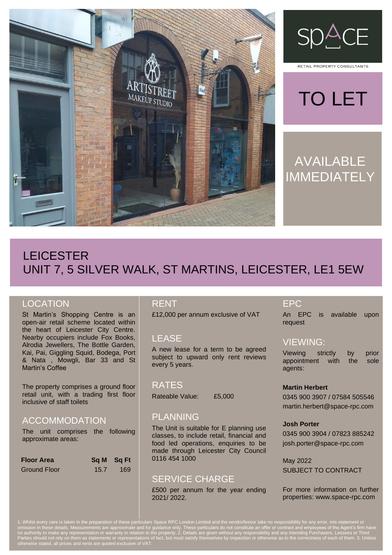



RETAIL PROPERTY CONSULTANTS

# TO LET

# AVAILABLE IMMEDIATELY

# LEICESTER UNIT 7, 5 SILVER WALK, ST MARTINS, LEICESTER, LE1 5EW

## **LOCATION**

St Martin's Shopping Centre is an open-air retail scheme located within the heart of Leicester City Centre. Nearby occupiers include Fox Books, Alrodia Jewellers, The Bottle Garden, Kai, Pai, Giggling Squid, Bodega, Port & Nata , Mowgli, Bar 33 and St Martin's Coffee

The property comprises a ground floor retail unit, with a trading first floor inclusive of staff toilets

## ACCOMMODATION

The unit comprises the following approximate areas:

| <b>Floor Area</b>   |      | Sq M Sq Ft |
|---------------------|------|------------|
| <b>Ground Floor</b> | 15.7 | 169        |

#### RENT

£12,000 per annum exclusive of VAT

## LEASE

A new lease for a term to be agreed subject to upward only rent reviews every 5 years.

#### RATES

Rateable Value: £5,000

#### PLANNING

The Unit is suitable for E planning use classes, to include retail, financial and food led operations, enquiries to be made through Leicester City Council 0116 454 1000

## SERVICE CHARGE

£500 per annum for the year ending 2021/ 2022.

#### EPC

An EPC is available upon request

#### VIEWING:

Viewing strictly by prior appointment with the sole agents:

#### **Martin Herbert**

0345 900 3907 / 07584 505546 martin.herbert@space-rpc.com

#### **Josh Porter**

0345 900 3904 / 07823 885242 josh.porter@space-rpc.com

May 2022 SUBJECT TO CONTRACT

For more information on further properties: www.space-rpc.com

1. Whilst every care is taken in the preparation of these particulars Space RPC London Limited and the vendor/lessor take no responsibility for any error, mis-statement or omission in these details. Measurements are approximate and for guidance only. These particulars do not constitute an offer or contract and employees of the Agent's firm have no authority to make any representation or warranty in relation to the property. 2. Details are given without any responsibility and any intending Purchasers, Lessees or Third Parties should not rely on them as statements or representations of fact, but must satisfy themselves by inspection or otherwise as to the correctness of each of them. 3. Unless